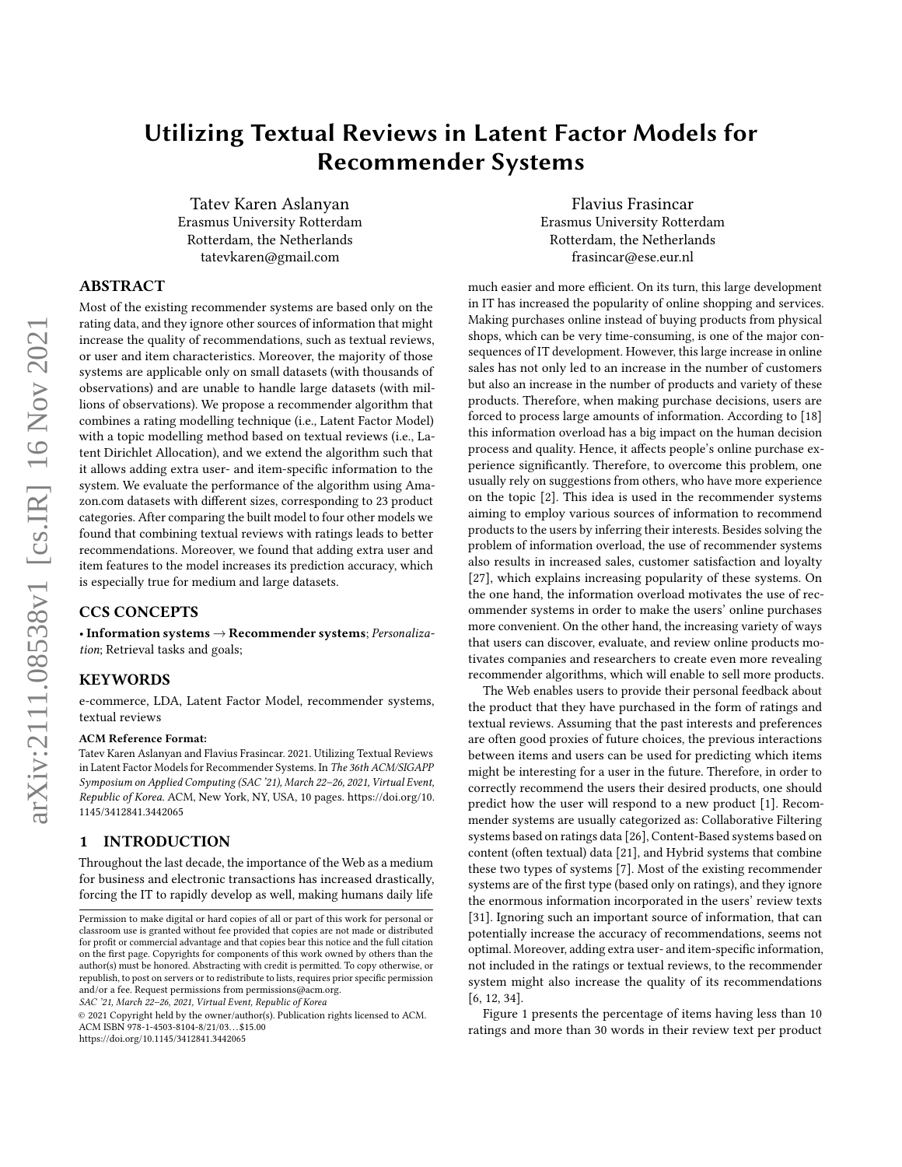# Utilizing Textual Reviews in Latent Factor Models for Recommender Systems

Tatev Karen Aslanyan Erasmus University Rotterdam Rotterdam, the Netherlands tatevkaren@gmail.com

Flavius Frasincar Erasmus University Rotterdam Rotterdam, the Netherlands frasincar@ese.eur.nl

# ABSTRACT

Most of the existing recommender systems are based only on the rating data, and they ignore other sources of information that might increase the quality of recommendations, such as textual reviews, or user and item characteristics. Moreover, the majority of those systems are applicable only on small datasets (with thousands of observations) and are unable to handle large datasets (with millions of observations). We propose a recommender algorithm that combines a rating modelling technique (i.e., Latent Factor Model) with a topic modelling method based on textual reviews (i.e., Latent Dirichlet Allocation), and we extend the algorithm such that it allows adding extra user- and item-specific information to the system. We evaluate the performance of the algorithm using Amazon.com datasets with different sizes, corresponding to 23 product categories. After comparing the built model to four other models we found that combining textual reviews with ratings leads to better recommendations. Moreover, we found that adding extra user and item features to the model increases its prediction accuracy, which is especially true for medium and large datasets.

# CCS CONCEPTS

• Information systems  $\rightarrow$  Recommender systems; Personalization; Retrieval tasks and goals;

#### KEYWORDS

e-commerce, LDA, Latent Factor Model, recommender systems, textual reviews

#### ACM Reference Format:

Tatev Karen Aslanyan and Flavius Frasincar. 2021. Utilizing Textual Reviews in Latent Factor Models for Recommender Systems. In The 36th ACM/SIGAPP Symposium on Applied Computing (SAC '21), March 22–26, 2021, Virtual Event, Republic of Korea. ACM, New York, NY, USA, [10](#page-9-0) pages. [https://doi.org/10.](https://doi.org/10.1145/3412841.3442065) [1145/3412841.3442065](https://doi.org/10.1145/3412841.3442065)

# 1 INTRODUCTION

Throughout the last decade, the importance of the Web as a medium for business and electronic transactions has increased drastically, forcing the IT to rapidly develop as well, making humans daily life

SAC '21, March 22–26, 2021, Virtual Event, Republic of Korea

<https://doi.org/10.1145/3412841.3442065>

much easier and more efficient. On its turn, this large development in IT has increased the popularity of online shopping and services. Making purchases online instead of buying products from physical shops, which can be very time-consuming, is one of the major consequences of IT development. However, this large increase in online sales has not only led to an increase in the number of customers but also an increase in the number of products and variety of these products. Therefore, when making purchase decisions, users are forced to process large amounts of information. According to [\[18\]](#page-9-1) this information overload has a big impact on the human decision process and quality. Hence, it affects people's online purchase experience significantly. Therefore, to overcome this problem, one usually rely on suggestions from others, who have more experience on the topic [\[2\]](#page-9-2). This idea is used in the recommender systems aiming to employ various sources of information to recommend products to the users by inferring their interests. Besides solving the problem of information overload, the use of recommender systems also results in increased sales, customer satisfaction and loyalty [\[27\]](#page-9-3), which explains increasing popularity of these systems. On the one hand, the information overload motivates the use of recommender systems in order to make the users' online purchases more convenient. On the other hand, the increasing variety of ways that users can discover, evaluate, and review online products motivates companies and researchers to create even more revealing recommender algorithms, which will enable to sell more products.

The Web enables users to provide their personal feedback about the product that they have purchased in the form of ratings and textual reviews. Assuming that the past interests and preferences are often good proxies of future choices, the previous interactions between items and users can be used for predicting which items might be interesting for a user in the future. Therefore, in order to correctly recommend the users their desired products, one should predict how the user will respond to a new product [\[1\]](#page-9-4). Recommender systems are usually categorized as: Collaborative Filtering systems based on ratings data [\[26\]](#page-9-5), Content-Based systems based on content (often textual) data [\[21\]](#page-9-6), and Hybrid systems that combine these two types of systems [\[7\]](#page-9-7). Most of the existing recommender systems are of the first type (based only on ratings), and they ignore the enormous information incorporated in the users' review texts [\[31\]](#page-9-8). Ignoring such an important source of information, that can potentially increase the accuracy of recommendations, seems not optimal. Moreover, adding extra user- and item-specific information, not included in the ratings or textual reviews, to the recommender system might also increase the quality of its recommendations [\[6,](#page-9-9) [12,](#page-9-10) [34\]](#page-9-11).

Figure [1](#page-1-0) presents the percentage of items having less than 10 ratings and more than 30 words in their review text per product

Permission to make digital or hard copies of all or part of this work for personal or classroom use is granted without fee provided that copies are not made or distributed for profit or commercial advantage and that copies bear this notice and the full citation on the first page. Copyrights for components of this work owned by others than the author(s) must be honored. Abstracting with credit is permitted. To copy otherwise, or republish, to post on servers or to redistribute to lists, requires prior specific permission and/or a fee. Request permissions from permissions@acm.org.

<sup>©</sup> 2021 Copyright held by the owner/author(s). Publication rights licensed to ACM. ACM ISBN 978-1-4503-8104-8/21/03. . . \$15.00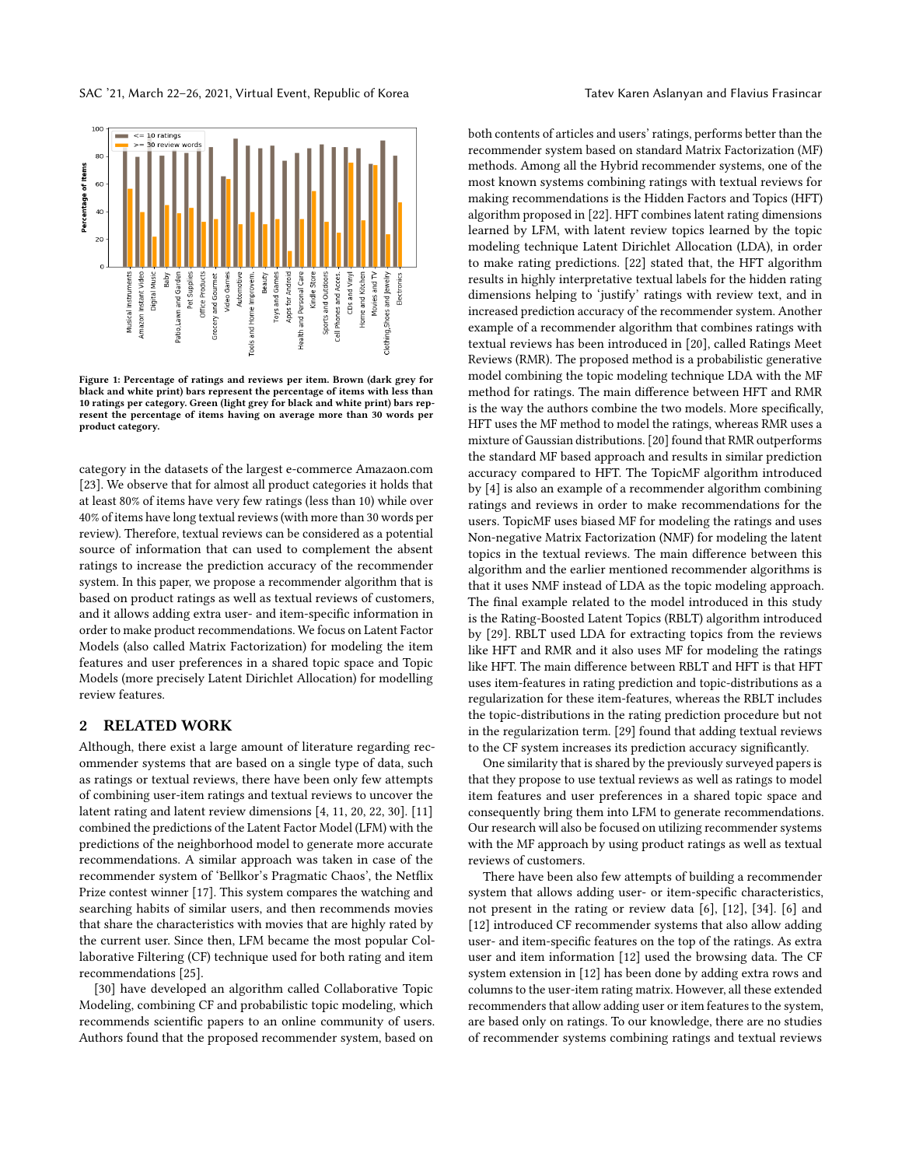<span id="page-1-0"></span>

Figure 1: Percentage of ratings and reviews per item. Brown (dark grey for black and white print) bars represent the percentage of items with less than 10 ratings per category. Green (light grey for black and white print) bars represent the percentage of items having on average more than 30 words per product category.

category in the datasets of the largest e-commerce Amazaon.com [\[23\]](#page-9-12). We observe that for almost all product categories it holds that at least 80% of items have very few ratings (less than 10) while over 40% of items have long textual reviews (with more than 30 words per review). Therefore, textual reviews can be considered as a potential source of information that can used to complement the absent ratings to increase the prediction accuracy of the recommender system. In this paper, we propose a recommender algorithm that is based on product ratings as well as textual reviews of customers, and it allows adding extra user- and item-specific information in order to make product recommendations. We focus on Latent Factor Models (also called Matrix Factorization) for modeling the item features and user preferences in a shared topic space and Topic Models (more precisely Latent Dirichlet Allocation) for modelling review features.

#### 2 RELATED WORK

Although, there exist a large amount of literature regarding recommender systems that are based on a single type of data, such as ratings or textual reviews, there have been only few attempts of combining user-item ratings and textual reviews to uncover the latent rating and latent review dimensions [\[4,](#page-9-13) [11,](#page-9-14) [20,](#page-9-15) [22,](#page-9-16) [30\]](#page-9-17). [\[11\]](#page-9-14) combined the predictions of the Latent Factor Model (LFM) with the predictions of the neighborhood model to generate more accurate recommendations. A similar approach was taken in case of the recommender system of 'Bellkor's Pragmatic Chaos', the Netflix Prize contest winner [\[17\]](#page-9-18). This system compares the watching and searching habits of similar users, and then recommends movies that share the characteristics with movies that are highly rated by the current user. Since then, LFM became the most popular Collaborative Filtering (CF) technique used for both rating and item recommendations [\[25\]](#page-9-19).

[\[30\]](#page-9-17) have developed an algorithm called Collaborative Topic Modeling, combining CF and probabilistic topic modeling, which recommends scientific papers to an online community of users. Authors found that the proposed recommender system, based on

both contents of articles and users' ratings, performs better than the recommender system based on standard Matrix Factorization (MF) methods. Among all the Hybrid recommender systems, one of the most known systems combining ratings with textual reviews for making recommendations is the Hidden Factors and Topics (HFT) algorithm proposed in [\[22\]](#page-9-16). HFT combines latent rating dimensions learned by LFM, with latent review topics learned by the topic modeling technique Latent Dirichlet Allocation (LDA), in order to make rating predictions. [\[22\]](#page-9-16) stated that, the HFT algorithm results in highly interpretative textual labels for the hidden rating dimensions helping to 'justify' ratings with review text, and in increased prediction accuracy of the recommender system. Another example of a recommender algorithm that combines ratings with textual reviews has been introduced in [\[20\]](#page-9-15), called Ratings Meet Reviews (RMR). The proposed method is a probabilistic generative model combining the topic modeling technique LDA with the MF method for ratings. The main difference between HFT and RMR is the way the authors combine the two models. More specifically, HFT uses the MF method to model the ratings, whereas RMR uses a mixture of Gaussian distributions. [\[20\]](#page-9-15) found that RMR outperforms the standard MF based approach and results in similar prediction accuracy compared to HFT. The TopicMF algorithm introduced by [\[4\]](#page-9-13) is also an example of a recommender algorithm combining ratings and reviews in order to make recommendations for the users. TopicMF uses biased MF for modeling the ratings and uses Non-negative Matrix Factorization (NMF) for modeling the latent topics in the textual reviews. The main difference between this algorithm and the earlier mentioned recommender algorithms is that it uses NMF instead of LDA as the topic modeling approach. The final example related to the model introduced in this study is the Rating-Boosted Latent Topics (RBLT) algorithm introduced by [\[29\]](#page-9-20). RBLT used LDA for extracting topics from the reviews like HFT and RMR and it also uses MF for modeling the ratings like HFT. The main difference between RBLT and HFT is that HFT uses item-features in rating prediction and topic-distributions as a regularization for these item-features, whereas the RBLT includes the topic-distributions in the rating prediction procedure but not in the regularization term. [\[29\]](#page-9-20) found that adding textual reviews to the CF system increases its prediction accuracy significantly.

One similarity that is shared by the previously surveyed papers is that they propose to use textual reviews as well as ratings to model item features and user preferences in a shared topic space and consequently bring them into LFM to generate recommendations. Our research will also be focused on utilizing recommender systems with the MF approach by using product ratings as well as textual reviews of customers.

There have been also few attempts of building a recommender system that allows adding user- or item-specific characteristics, not present in the rating or review data [\[6\]](#page-9-9), [\[12\]](#page-9-10), [\[34\]](#page-9-11). [\[6\]](#page-9-9) and [\[12\]](#page-9-10) introduced CF recommender systems that also allow adding user- and item-specific features on the top of the ratings. As extra user and item information [\[12\]](#page-9-10) used the browsing data. The CF system extension in [\[12\]](#page-9-10) has been done by adding extra rows and columns to the user-item rating matrix. However, all these extended recommenders that allow adding user or item features to the system, are based only on ratings. To our knowledge, there are no studies of recommender systems combining ratings and textual reviews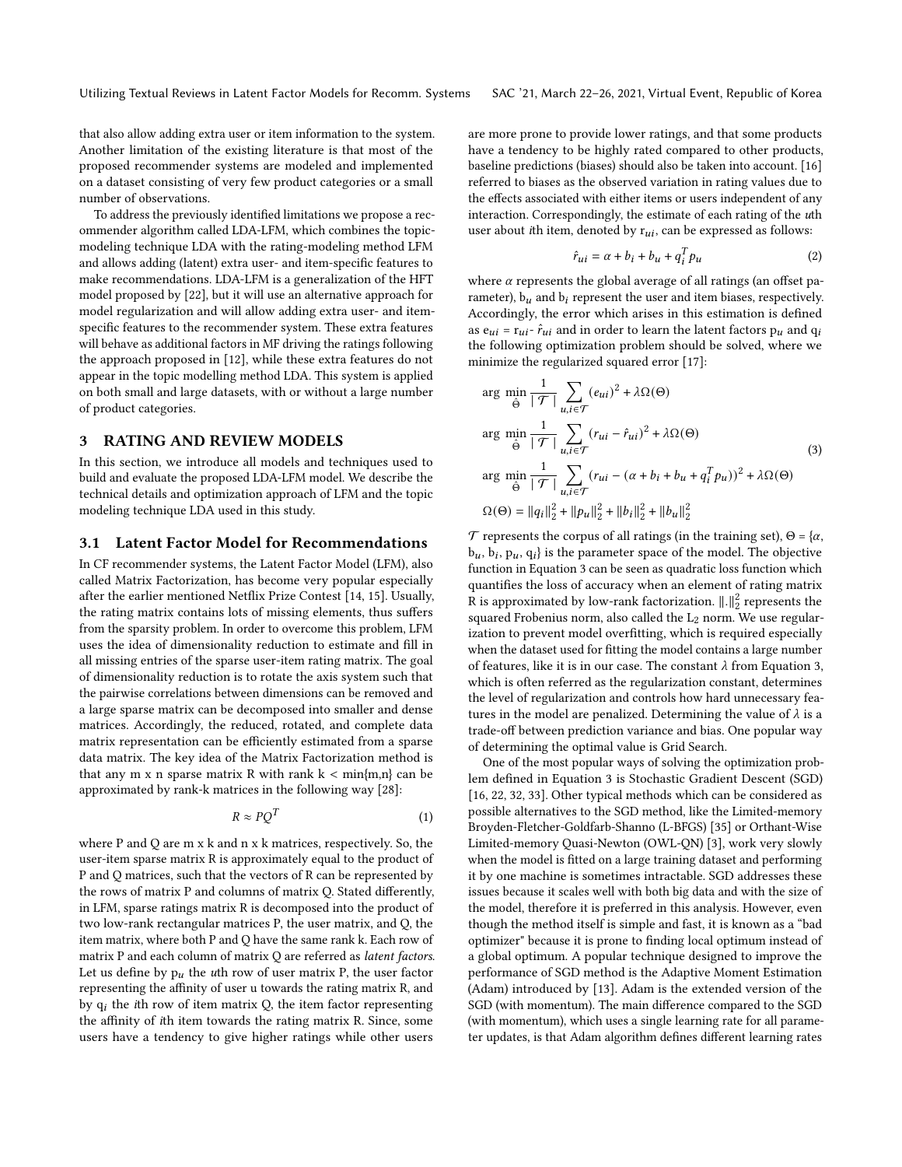Utilizing Textual Reviews in Latent Factor Models for Recomm. Systems SAC '21, March 22–26, 2021, Virtual Event, Republic of Korea

that also allow adding extra user or item information to the system. Another limitation of the existing literature is that most of the proposed recommender systems are modeled and implemented on a dataset consisting of very few product categories or a small number of observations.

To address the previously identified limitations we propose a recommender algorithm called LDA-LFM, which combines the topicmodeling technique LDA with the rating-modeling method LFM and allows adding (latent) extra user- and item-specific features to make recommendations. LDA-LFM is a generalization of the HFT model proposed by [\[22\]](#page-9-16), but it will use an alternative approach for model regularization and will allow adding extra user- and itemspecific features to the recommender system. These extra features will behave as additional factors in MF driving the ratings following the approach proposed in [\[12\]](#page-9-10), while these extra features do not appear in the topic modelling method LDA. This system is applied on both small and large datasets, with or without a large number of product categories.

# 3 RATING AND REVIEW MODELS

In this section, we introduce all models and techniques used to build and evaluate the proposed LDA-LFM model. We describe the technical details and optimization approach of LFM and the topic modeling technique LDA used in this study.

# <span id="page-2-1"></span>3.1 Latent Factor Model for Recommendations

In CF recommender systems, the Latent Factor Model (LFM), also called Matrix Factorization, has become very popular especially after the earlier mentioned Netflix Prize Contest [\[14,](#page-9-21) [15\]](#page-9-22). Usually, the rating matrix contains lots of missing elements, thus suffers from the sparsity problem. In order to overcome this problem, LFM uses the idea of dimensionality reduction to estimate and fill in all missing entries of the sparse user-item rating matrix. The goal of dimensionality reduction is to rotate the axis system such that the pairwise correlations between dimensions can be removed and a large sparse matrix can be decomposed into smaller and dense matrices. Accordingly, the reduced, rotated, and complete data matrix representation can be efficiently estimated from a sparse data matrix. The key idea of the Matrix Factorization method is that any m x n sparse matrix R with rank  $k < min\{m,n\}$  can be approximated by rank-k matrices in the following way [\[28\]](#page-9-23):

$$
R \approx PQ^T \tag{1}
$$

where P and Q are m x k and n x k matrices, respectively. So, the user-item sparse matrix R is approximately equal to the product of P and Q matrices, such that the vectors of R can be represented by the rows of matrix P and columns of matrix Q. Stated differently, in LFM, sparse ratings matrix R is decomposed into the product of two low-rank rectangular matrices P, the user matrix, and Q, the item matrix, where both P and Q have the same rank k. Each row of matrix P and each column of matrix Q are referred as latent factors. Let us define by  $p_u$  the *u*th row of user matrix P, the user factor representing the affinity of user u towards the rating matrix R, and by  $q_i$  the *i*th row of item matrix  $Q$ , the item factor representing the affinity of ith item towards the rating matrix R. Since, some users have a tendency to give higher ratings while other users

are more prone to provide lower ratings, and that some products have a tendency to be highly rated compared to other products, baseline predictions (biases) should also be taken into account. [\[16\]](#page-9-24) referred to biases as the observed variation in rating values due to the effects associated with either items or users independent of any interaction. Correspondingly, the estimate of each rating of the uth user about *i*th item, denoted by  $r_{ui}$ , can be expressed as follows:

<span id="page-2-2"></span>
$$
\hat{r}_{ui} = \alpha + b_i + b_u + q_i^T p_u \tag{2}
$$

where  $\alpha$  represents the global average of all ratings (an offset parameter),  $b_u$  and  $b_i$  represent the user and item biases, respectively. Accordingly, the error which arises in this estimation is defined as  $e_{ui} = r_{ui} \cdot \hat{r}_{ui}$  and in order to learn the latent factors  $p_u$  and  $q_i$ the following optimization problem should be solved, where we minimize the regularized squared error [\[17\]](#page-9-18):

<span id="page-2-0"></span>
$$
\arg \min_{\hat{\Theta}} \frac{1}{|\mathcal{T}|} \sum_{u,i \in \mathcal{T}} (e_{ui})^2 + \lambda \Omega(\Theta)
$$
\n
$$
\arg \min_{\hat{\Theta}} \frac{1}{|\mathcal{T}|} \sum_{u,i \in \mathcal{T}} (r_{ui} - \hat{r}_{ui})^2 + \lambda \Omega(\Theta)
$$
\n
$$
\arg \min_{\hat{\Theta}} \frac{1}{|\mathcal{T}|} \sum_{u,i \in \mathcal{T}} (r_{ui} - (\alpha + b_i + b_u + q_i^T p_u))^2 + \lambda \Omega(\Theta)
$$
\n
$$
\Omega(\Theta) = ||q_i||_2^2 + ||p_u||_2^2 + ||b_i||_2^2 + ||b_u||_2^2
$$
\n(3)

T represents the corpus of all ratings (in the training set),  $\Theta = \{\alpha, \beta, \gamma\}$  $b_u, b_i, p_u, q_i$  is the parameter space of the model. The objective function in Equation [3](#page-2-0) can be seen as quadratic loss function which quantifies the loss of accuracy when an element of rating matrix R is approximated by low-rank factorization.  $\|.\|^2_2$  represents the squared Frobenius norm, also called the  $L_2$  norm. We use regularization to prevent model overfitting, which is required especially when the dataset used for fitting the model contains a large number of features, like it is in our case. The constant  $\lambda$  from Equation [3,](#page-2-0) which is often referred as the regularization constant, determines the level of regularization and controls how hard unnecessary features in the model are penalized. Determining the value of  $\lambda$  is a trade-off between prediction variance and bias. One popular way of determining the optimal value is Grid Search.

One of the most popular ways of solving the optimization problem defined in Equation [3](#page-2-0) is Stochastic Gradient Descent (SGD) [\[16,](#page-9-24) [22,](#page-9-16) [32,](#page-9-25) [33\]](#page-9-26). Other typical methods which can be considered as possible alternatives to the SGD method, like the Limited-memory Broyden-Fletcher-Goldfarb-Shanno (L-BFGS) [\[35\]](#page-9-27) or Orthant-Wise Limited-memory Quasi-Newton (OWL-QN) [\[3\]](#page-9-28), work very slowly when the model is fitted on a large training dataset and performing it by one machine is sometimes intractable. SGD addresses these issues because it scales well with both big data and with the size of the model, therefore it is preferred in this analysis. However, even though the method itself is simple and fast, it is known as a "bad optimizer" because it is prone to finding local optimum instead of a global optimum. A popular technique designed to improve the performance of SGD method is the Adaptive Moment Estimation (Adam) introduced by [\[13\]](#page-9-29). Adam is the extended version of the SGD (with momentum). The main difference compared to the SGD (with momentum), which uses a single learning rate for all parameter updates, is that Adam algorithm defines different learning rates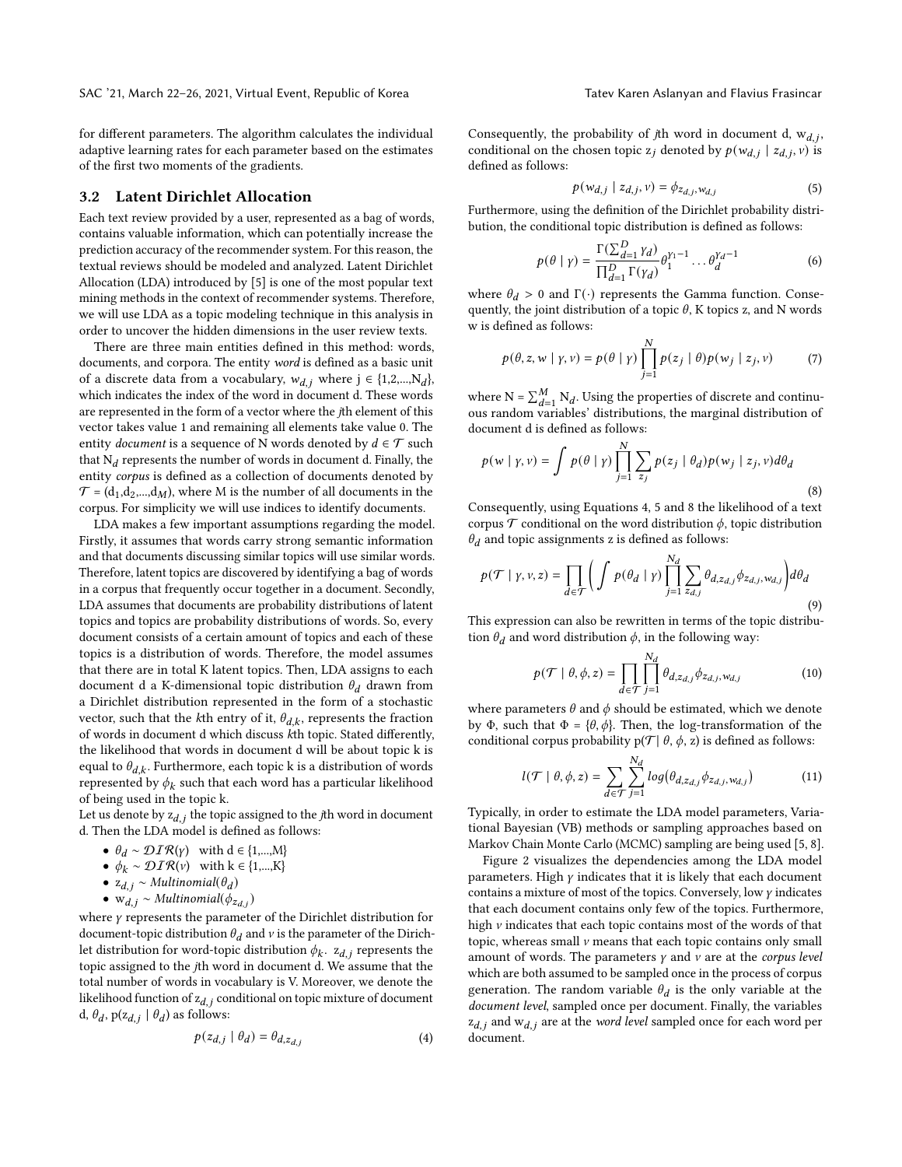for different parameters. The algorithm calculates the individual adaptive learning rates for each parameter based on the estimates of the first two moments of the gradients.

#### <span id="page-3-3"></span>3.2 Latent Dirichlet Allocation

Each text review provided by a user, represented as a bag of words, contains valuable information, which can potentially increase the prediction accuracy of the recommender system. For this reason, the textual reviews should be modeled and analyzed. Latent Dirichlet Allocation (LDA) introduced by [\[5\]](#page-9-30) is one of the most popular text mining methods in the context of recommender systems. Therefore, we will use LDA as a topic modeling technique in this analysis in order to uncover the hidden dimensions in the user review texts.

There are three main entities defined in this method: words, documents, and corpora. The entity word is defined as a basic unit of a discrete data from a vocabulary,  $w_{d,i}$  where  $j \in \{1,2,...,N_d\}$ , which indicates the index of the word in document d. These words are represented in the form of a vector where the jth element of this vector takes value 1 and remaining all elements take value 0. The entity *document* is a sequence of N words denoted by  $d \in \mathcal{T}$  such that  $N_d$  represents the number of words in document d. Finally, the entity corpus is defined as a collection of documents denoted by  $\mathcal{T} = (d_1, d_2, ..., d_M)$ , where M is the number of all documents in the corpus. For simplicity we will use indices to identify documents.

LDA makes a few important assumptions regarding the model. Firstly, it assumes that words carry strong semantic information and that documents discussing similar topics will use similar words. Therefore, latent topics are discovered by identifying a bag of words in a corpus that frequently occur together in a document. Secondly, LDA assumes that documents are probability distributions of latent topics and topics are probability distributions of words. So, every document consists of a certain amount of topics and each of these topics is a distribution of words. Therefore, the model assumes that there are in total K latent topics. Then, LDA assigns to each document d a K-dimensional topic distribution  $\theta_d$  drawn from a Dirichlet distribution represented in the form of a stochastic vector, such that the kth entry of it,  $\theta_{d,k}$ , represents the fraction of words in document d which discuss kth topic. Stated differently, the likelihood that words in document d will be about topic k is equal to  $\theta_{d,k}$ . Furthermore, each topic k is a distribution of words represented by  $\phi_k$  such that each word has a particular likelihood of being used in the topic k.

Let us denote by  $z_{d,i}$  the topic assigned to the jth word in document d. Then the LDA model is defined as follows:

- $\theta_d \sim \mathcal{DIR}(y)$  with  $d \in \{1,...,M\}$
- $\phi_k \sim \mathcal{DIR}(v)$  with  $k \in \{1,...,K\}$
- $z_{d,i} \sim Multinomial(\theta_d)$
- $w_{d,j} \sim Multinomial(\phi_{z_{d,j}})$

where  $\gamma$  represents the parameter of the Dirichlet distribution for document-topic distribution  $\theta_d$  and v is the parameter of the Dirichlet distribution for word-topic distribution  $\phi_k$ .  $z_{d,i}$  represents the topic assigned to the jth word in document d. We assume that the total number of words in vocabulary is V. Moreover, we denote the likelihood function of  $z_{d,j}$  conditional on topic mixture of document d,  $\theta_d$ , p(z<sub>d, i</sub> |  $\theta_d$ ) as follows:

<span id="page-3-0"></span>
$$
p(z_{d,j} | \theta_d) = \theta_{d,z_{d,j}} \tag{4}
$$

Consequently, the probability of jth word in document d,  $w_{d,j}$ , conditional on the chosen topic  $z_j$  denoted by  $p(w_{d,j} | z_{d,j}, v)$  is defined as follows:

<span id="page-3-1"></span>
$$
p(w_{d,j} \mid z_{d,j}, v) = \phi_{z_{d,j}, w_{d,j}}
$$
 (5)

Furthermore, using the definition of the Dirichlet probability distribution, the conditional topic distribution is defined as follows:

$$
p(\theta \mid \gamma) = \frac{\Gamma(\sum_{d=1}^{D} \gamma_d)}{\prod_{d=1}^{D} \Gamma(\gamma_d)} \theta_1^{\gamma_1 - 1} \dots \theta_d^{\gamma_d - 1}
$$
 (6)

where  $\theta_d > 0$  and  $\Gamma(\cdot)$  represents the Gamma function. Consequently, the joint distribution of a topic  $\theta$ , K topics z, and N words w is defined as follows:

$$
p(\theta, z, w | \gamma, v) = p(\theta | \gamma) \prod_{j=1}^{N} p(z_j | \theta) p(w_j | z_j, v)
$$
 (7)

where  $N = \sum_{d=1}^{M} N_d$ . Using the properties of discrete and continuous random variables' distributions, the marginal distribution of document d is defined as follows:

<span id="page-3-2"></span>
$$
p(w | y, v) = \int p(\theta | \gamma) \prod_{j=1}^{N} \sum_{z_j} p(z_j | \theta_d) p(w_j | z_j, v) d\theta_d
$$
\n(8)

Consequently, using Equations [4,](#page-3-0) [5](#page-3-1) and [8](#page-3-2) the likelihood of a text corpus  $\mathcal T$  conditional on the word distribution  $\phi$ , topic distribution  $\theta_d$  and topic assignments z is defined as follows:

$$
p(\mathcal{T} \mid \gamma, \nu, z) = \prod_{d \in \mathcal{T}} \left( \int p(\theta_d \mid \gamma) \prod_{j=1}^{N_d} \sum_{z_{d,j}} \theta_{d, z_{d,j}} \phi_{z_{d,j}, w_{d,j}} \right) d\theta_d
$$
\n(9)

This expression can also be rewritten in terms of the topic distribution  $\theta_d$  and word distribution  $\phi$ , in the following way:

$$
p(\mathcal{T} \mid \theta, \phi, z) = \prod_{d \in \mathcal{T}} \prod_{j=1}^{N_d} \theta_{d, z_{d,j}} \phi_{z_{d,j}, w_{d,j}}
$$
(10)

where parameters  $\theta$  and  $\phi$  should be estimated, which we denote by Φ, such that  $Φ = {θ, φ}$ . Then, the log-transformation of the conditional corpus probability  $p(\mathcal{T} | \theta, \phi, z)$  is defined as follows:

<span id="page-3-4"></span>
$$
l(\mathcal{T} | \theta, \phi, z) = \sum_{d \in \mathcal{T}} \sum_{j=1}^{N_d} log(\theta_{d, z_{d,j}} \phi_{z_{d,j}, w_{d,j}})
$$
(11)

Typically, in order to estimate the LDA model parameters, Variational Bayesian (VB) methods or sampling approaches based on Markov Chain Monte Carlo (MCMC) sampling are being used [\[5,](#page-9-30) [8\]](#page-9-31).

Figure [2](#page-4-0) visualizes the dependencies among the LDA model parameters. High  $\gamma$  indicates that it is likely that each document contains a mixture of most of the topics. Conversely, low  $\gamma$  indicates that each document contains only few of the topics. Furthermore, high  $\nu$  indicates that each topic contains most of the words of that topic, whereas small  $\nu$  means that each topic contains only small amount of words. The parameters  $\gamma$  and  $\nu$  are at the *corpus level* which are both assumed to be sampled once in the process of corpus generation. The random variable  $\theta_d$  is the only variable at the document level, sampled once per document. Finally, the variables  $z_{d,j}$  and  $w_{d,j}$  are at the *word level* sampled once for each word per document.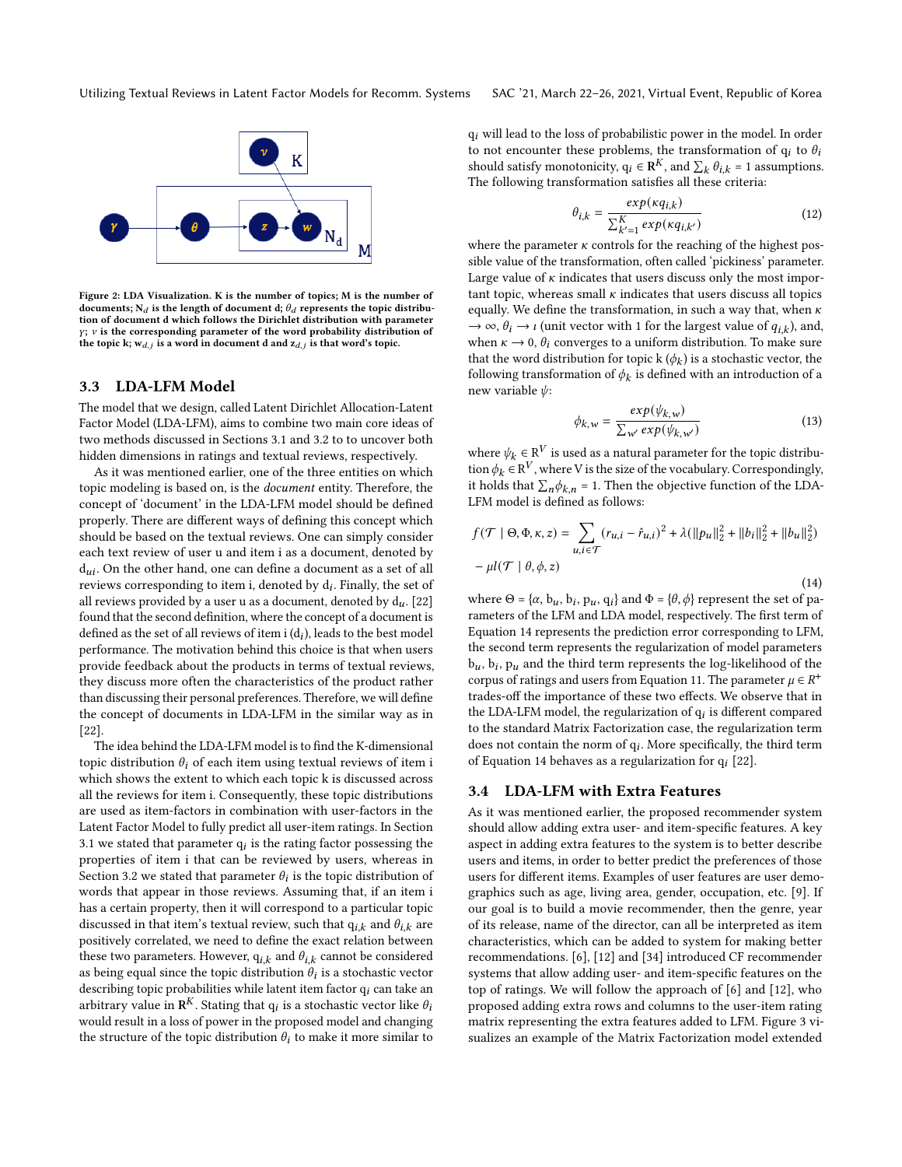<span id="page-4-0"></span>

Figure 2: LDA Visualization. K is the number of topics; M is the number of documents;  $N_d$  is the length of document d;  $\theta_d$  represents the topic distribution of document d which follows the Dirichlet distribution with parameter  $y$ ;  $v$  is the corresponding parameter of the word probability distribution of the topic k;  $w_{d,j}$  is a word in document d and  $z_{d,j}$  is that word's topic.

#### <span id="page-4-4"></span>3.3 LDA-LFM Model

The model that we design, called Latent Dirichlet Allocation-Latent Factor Model (LDA-LFM), aims to combine two main core ideas of two methods discussed in Sections [3.1](#page-2-1) and [3.2](#page-3-3) to to uncover both hidden dimensions in ratings and textual reviews, respectively.

As it was mentioned earlier, one of the three entities on which topic modeling is based on, is the document entity. Therefore, the concept of 'document' in the LDA-LFM model should be defined properly. There are different ways of defining this concept which should be based on the textual reviews. One can simply consider each text review of user u and item i as a document, denoted by  $d_{ui}$ . On the other hand, one can define a document as a set of all reviews corresponding to item i, denoted by  $\mathrm{d}_i$ . Finally, the set of all reviews provided by a user u as a document, denoted by  $d_u$ . [\[22\]](#page-9-16) found that the second definition, where the concept of a document is defined as the set of all reviews of item i ( $\mathrm{d}_i$ ), leads to the best model performance. The motivation behind this choice is that when users provide feedback about the products in terms of textual reviews, they discuss more often the characteristics of the product rather than discussing their personal preferences. Therefore, we will define the concept of documents in LDA-LFM in the similar way as in [\[22\]](#page-9-16).

The idea behind the LDA-LFM model is to find the K-dimensional topic distribution  $\theta_i$  of each item using textual reviews of item i which shows the extent to which each topic k is discussed across all the reviews for item i. Consequently, these topic distributions are used as item-factors in combination with user-factors in the Latent Factor Model to fully predict all user-item ratings. In Section [3.1](#page-2-1) we stated that parameter  $q_i$  is the rating factor possessing the properties of item i that can be reviewed by users, whereas in Section [3.2](#page-3-3) we stated that parameter  $\theta_i$  is the topic distribution of words that appear in those reviews. Assuming that, if an item i has a certain property, then it will correspond to a particular topic discussed in that item's textual review, such that  $q_{i,k}$  and  $\theta_{i,k}$  are positively correlated, we need to define the exact relation between these two parameters. However,  $q_{i,k}$  and  $\theta_{i,k}$  cannot be considered as being equal since the topic distribution  $\hat{\theta}_i$  is a stochastic vector describing topic probabilities while latent item factor  $q_i$  can take an arbitrary value in  $\mathbf{R}^K$ . Stating that  $q_i$  is a stochastic vector like  $\theta_i$ would result in a loss of power in the proposed model and changing the structure of the topic distribution  $\theta_i$  to make it more similar to

 $q_i$  will lead to the loss of probabilistic power in the model. In order to not encounter these problems, the transformation of  $q_i$  to  $\theta_i$ should satisfy monotonicity,  $q_i \in \mathbb{R}^K$ , and  $\sum_k \theta_{i,k} = 1$  assumptions. The following transformation satisfies all these criteria:

<span id="page-4-2"></span>
$$
\theta_{i,k} = \frac{\exp(\kappa q_{i,k})}{\sum_{k'=1}^{K} \exp(\kappa q_{i,k'})}
$$
(12)

where the parameter  $\kappa$  controls for the reaching of the highest possible value of the transformation, often called 'pickiness' parameter. Large value of  $\kappa$  indicates that users discuss only the most important topic, whereas small  $\kappa$  indicates that users discuss all topics equally. We define the transformation, in such a way that, when  $\kappa$  $\rightarrow \infty$ ,  $\theta_i \rightarrow \iota$  (unit vector with 1 for the largest value of  $q_{i,k}$ ), and, when  $\kappa \to 0$ ,  $\theta_i$  converges to a uniform distribution. To make sure that the word distribution for topic  $k(\phi_k)$  is a stochastic vector, the following transformation of  $\phi_k$  is defined with an introduction of a new variable  $\psi$ :

<span id="page-4-3"></span>
$$
\phi_{k,w} = \frac{\exp(\psi_{k,w})}{\sum_{w'} \exp(\psi_{k,w'})}
$$
(13)

where  $\psi_k \in \mathrm{R}^V$  is used as a natural parameter for the topic distribution  $\phi_k \in \mathbb{R}^V$ , where V is the size of the vocabulary. Correspondingly, it holds that  $\sum_{n} \phi_{k,n} = 1$ . Then the objective function of the LDA-LFM model is defined as follows:

<span id="page-4-1"></span>
$$
f(\mathcal{T} \mid \Theta, \Phi, \kappa, z) = \sum_{u, i \in \mathcal{T}} (r_{u,i} - \hat{r}_{u,i})^2 + \lambda (\|p_u\|_2^2 + \|b_i\|_2^2 + \|b_u\|_2^2)
$$

$$
-\mu I(\mathcal{T} \mid \theta, \phi, z)
$$
(14)

where  $\Theta = {\alpha, b_u, b_i, p_u, q_i}$  and  $\Phi = {\theta, \phi}$  represent the set of parameters of the LFM and LDA model, respectively. The first term of Equation [14](#page-4-1) represents the prediction error corresponding to LFM, the second term represents the regularization of model parameters  $b_u$ ,  $b_i$ ,  $p_u$  and the third term represents the log-likelihood of the corpus of ratings and users from Equation [11.](#page-3-4) The parameter  $\mu \in R^+$ trades-off the importance of these two effects. We observe that in the LDA-LFM model, the regularization of  $q_i$  is different compared to the standard Matrix Factorization case, the regularization term does not contain the norm of  $q_i$ . More specifically, the third term of Equation [14](#page-4-1) behaves as a regularization for  $q_i$  [\[22\]](#page-9-16).

## 3.4 LDA-LFM with Extra Features

As it was mentioned earlier, the proposed recommender system should allow adding extra user- and item-specific features. A key aspect in adding extra features to the system is to better describe users and items, in order to better predict the preferences of those users for different items. Examples of user features are user demographics such as age, living area, gender, occupation, etc. [\[9\]](#page-9-32). If our goal is to build a movie recommender, then the genre, year of its release, name of the director, can all be interpreted as item characteristics, which can be added to system for making better recommendations. [\[6\]](#page-9-9), [\[12\]](#page-9-10) and [\[34\]](#page-9-11) introduced CF recommender systems that allow adding user- and item-specific features on the top of ratings. We will follow the approach of [\[6\]](#page-9-9) and [\[12\]](#page-9-10), who proposed adding extra rows and columns to the user-item rating matrix representing the extra features added to LFM. Figure [3](#page-5-0) visualizes an example of the Matrix Factorization model extended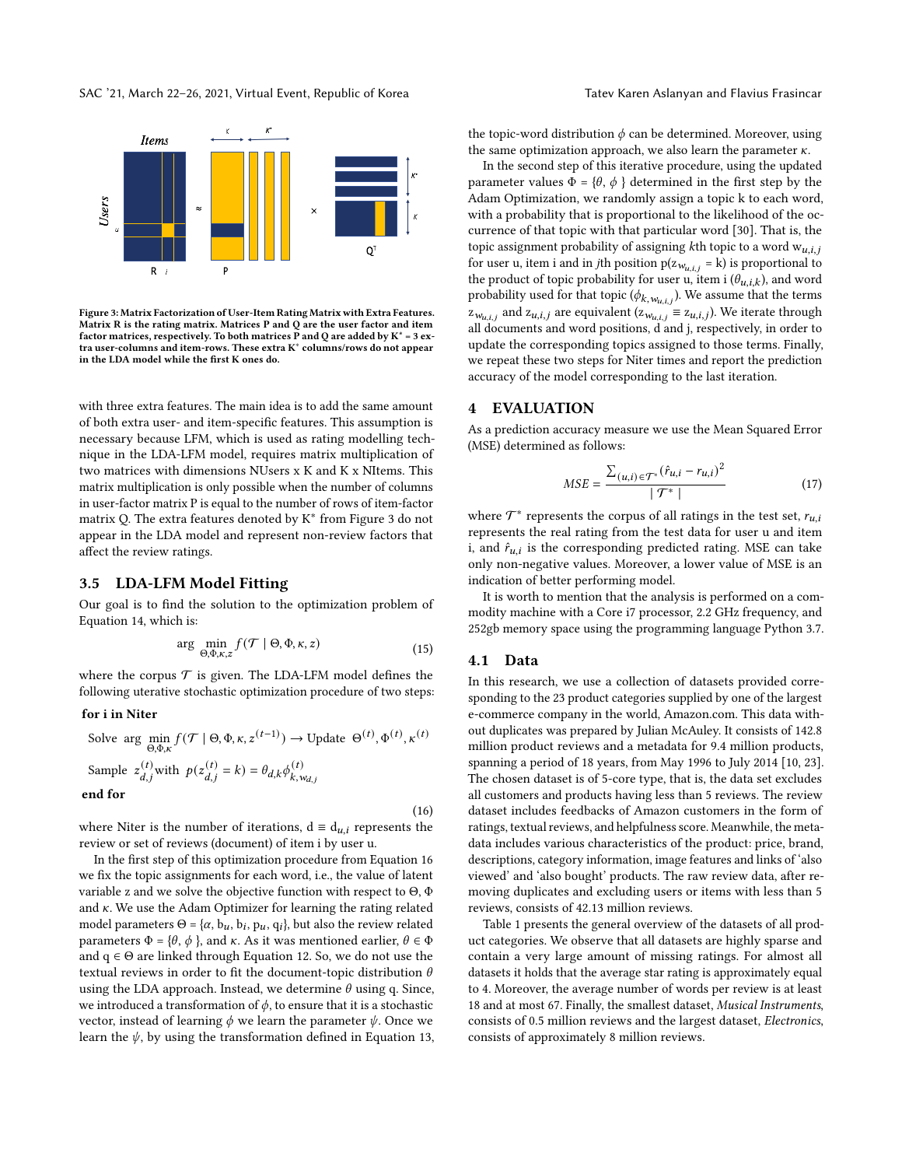<span id="page-5-0"></span>

Figure 3: Matrix Factorization of User-Item Rating Matrix with Extra Features. Matrix R is the rating matrix. Matrices P and Q are the user factor and item factor matrices, respectively. To both matrices P and Q are added by  $K^* = 3$  extra user-columns and item-rows. These extra K<sup>∗</sup> columns/rows do not appear in the LDA model while the first K ones do.

with three extra features. The main idea is to add the same amount of both extra user- and item-specific features. This assumption is necessary because LFM, which is used as rating modelling technique in the LDA-LFM model, requires matrix multiplication of two matrices with dimensions NUsers x K and K x NItems. This matrix multiplication is only possible when the number of columns in user-factor matrix P is equal to the number of rows of item-factor matrix Q. The extra features denoted by K<sup>∗</sup> from Figure [3](#page-5-0) do not appear in the LDA model and represent non-review factors that affect the review ratings.

# 3.5 LDA-LFM Model Fitting

Our goal is to find the solution to the optimization problem of Equation [14,](#page-4-1) which is:

$$
\arg\min_{\Theta,\Phi,\kappa,z} f(\mathcal{T} \mid \Theta,\Phi,\kappa,z) \tag{15}
$$

where the corpus  $\mathcal T$  is given. The LDA-LFM model defines the following uterative stochastic optimization procedure of two steps:

#### for i in Niter

<span id="page-5-1"></span>Solve arg 
$$
\min_{\Theta, \Phi, \kappa} f(\mathcal{T} | \Theta, \Phi, \kappa, z^{(t-1)}) \to \text{Update } \Theta^{(t)}, \Phi^{(t)}, \kappa^{(t)}
$$
  
\nSample  $z_{d,j}^{(t)}$  with  $p(z_{d,j}^{(t)} = k) = \theta_{d,k} \phi_{k, w_{d,j}}^{(t)}$ 

end for

where Niter is the number of iterations,  $d \equiv d_{u,i}$  represents the review or set of reviews (document) of item i by user u.

In the first step of this optimization procedure from Equation [16](#page-5-1) we fix the topic assignments for each word, i.e., the value of latent variable z and we solve the objective function with respect to Θ, Φ and  $\kappa$ . We use the Adam Optimizer for learning the rating related model parameters  $\Theta = {\alpha, b_u, b_i, p_u, q_i}$ , but also the review related parameters  $Φ = {θ, φ}$ , and κ. As it was mentioned earlier,  $θ ∈ Φ$ and  $q \in \Theta$  are linked through Equation [12.](#page-4-2) So, we do not use the textual reviews in order to fit the document-topic distribution  $\theta$ using the LDA approach. Instead, we determine  $\theta$  using q. Since, we introduced a transformation of  $\phi$ , to ensure that it is a stochastic vector, instead of learning  $\phi$  we learn the parameter  $\psi$ . Once we learn the  $\psi$ , by using the transformation defined in Equation [13,](#page-4-3)

the topic-word distribution  $\phi$  can be determined. Moreover, using the same optimization approach, we also learn the parameter  $\kappa$ .

In the second step of this iterative procedure, using the updated parameter values  $\Phi = \{\theta, \phi\}$  determined in the first step by the Adam Optimization, we randomly assign a topic k to each word, with a probability that is proportional to the likelihood of the occurrence of that topic with that particular word [\[30\]](#page-9-17). That is, the topic assignment probability of assigning kth topic to a word  $w_{u,i,j}$ for user u, item i and in *j*th position  $p(z_{w_{u,i,j}} = k)$  is proportional to the product of topic probability for user u, item i  $(\theta_{u,i,k})$ , and word probability used for that topic  $(\phi_{k, w_{u,i,j}})$ . We assume that the terms  $z_{w_{u,i,j}}$  and  $z_{u,i,j}$  are equivalent  $(z_{w_{u,i,j}} \equiv z_{u,i,j})$ . We iterate through all documents and word positions, d and j, respectively, in order to update the corresponding topics assigned to those terms. Finally, we repeat these two steps for Niter times and report the prediction accuracy of the model corresponding to the last iteration.

#### **EVALUATION**

As a prediction accuracy measure we use the Mean Squared Error (MSE) determined as follows:

$$
MSE = \frac{\sum_{(u,i)\in \mathcal{T}^*} (\hat{r}_{u,i} - r_{u,i})^2}{|\mathcal{T}^*|}
$$
(17)

where  $\mathcal{T}^*$  represents the corpus of all ratings in the test set,  $r_{u,i}$ represents the real rating from the test data for user u and item i, and  $\hat{r}_{u,i}$  is the corresponding predicted rating. MSE can take only non-negative values. Moreover, a lower value of MSE is an indication of better performing model.

It is worth to mention that the analysis is performed on a commodity machine with a Core i7 processor, 2.2 GHz frequency, and 252gb memory space using the programming language Python 3.7.

## 4.1 Data

(16)

In this research, we use a collection of datasets provided corresponding to the 23 product categories supplied by one of the largest e-commerce company in the world, Amazon.com. This data without duplicates was prepared by Julian McAuley. It consists of 142.8 million product reviews and a metadata for 9.4 million products, spanning a period of 18 years, from May 1996 to July 2014 [\[10,](#page-9-33) [23\]](#page-9-12). The chosen dataset is of 5-core type, that is, the data set excludes all customers and products having less than 5 reviews. The review dataset includes feedbacks of Amazon customers in the form of ratings, textual reviews, and helpfulness score. Meanwhile, the metadata includes various characteristics of the product: price, brand, descriptions, category information, image features and links of 'also viewed' and 'also bought' products. The raw review data, after removing duplicates and excluding users or items with less than 5 reviews, consists of 42.13 million reviews.

Table [1](#page-6-0) presents the general overview of the datasets of all product categories. We observe that all datasets are highly sparse and contain a very large amount of missing ratings. For almost all datasets it holds that the average star rating is approximately equal to 4. Moreover, the average number of words per review is at least 18 and at most 67. Finally, the smallest dataset, Musical Instruments, consists of 0.5 million reviews and the largest dataset, Electronics, consists of approximately 8 million reviews.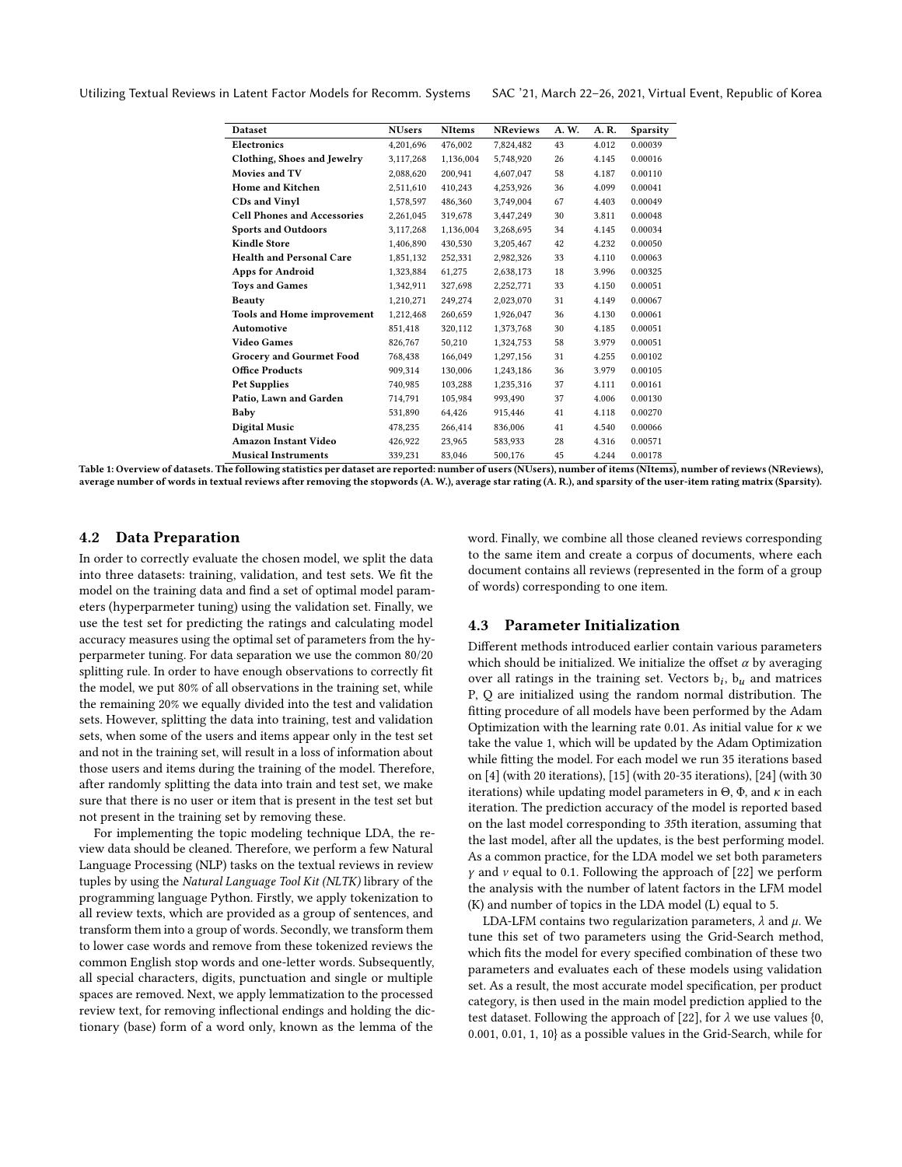<span id="page-6-0"></span>Utilizing Textual Reviews in Latent Factor Models for Recomm. Systems SAC '21, March 22–26, 2021, Virtual Event, Republic of Korea

| <b>Dataset</b>                     | <b>NUsers</b> | <b>NItems</b> | <b>NReviews</b> | A. W. | A. R. | <b>Sparsity</b> |
|------------------------------------|---------------|---------------|-----------------|-------|-------|-----------------|
| Electronics                        | 4.201.696     | 476,002       | 7,824,482       | 43    | 4.012 | 0.00039         |
| Clothing, Shoes and Jewelry        | 3,117,268     | 1.136,004     | 5.748.920       | 26    | 4.145 | 0.00016         |
| Movies and TV                      | 2.088.620     | 200.941       | 4.607.047       | 58    | 4.187 | 0.00110         |
| <b>Home and Kitchen</b>            | 2,511,610     | 410.243       | 4,253,926       | 36    | 4.099 | 0.00041         |
| <b>CDs and Vinyl</b>               | 1,578,597     | 486,360       | 3,749,004       | 67    | 4.403 | 0.00049         |
| <b>Cell Phones and Accessories</b> | 2,261,045     | 319,678       | 3,447,249       | 30    | 3.811 | 0.00048         |
| <b>Sports and Outdoors</b>         | 3,117,268     | 1,136,004     | 3,268,695       | 34    | 4.145 | 0.00034         |
| <b>Kindle Store</b>                | 1,406,890     | 430,530       | 3,205,467       | 42    | 4.232 | 0.00050         |
| <b>Health and Personal Care</b>    | 1,851,132     | 252.331       | 2,982,326       | 33    | 4.110 | 0.00063         |
| <b>Apps for Android</b>            | 1,323,884     | 61,275        | 2,638,173       | 18    | 3.996 | 0.00325         |
| <b>Toys and Games</b>              | 1,342,911     | 327.698       | 2.252.771       | 33    | 4.150 | 0.00051         |
| <b>Beauty</b>                      | 1,210,271     | 249,274       | 2,023,070       | 31    | 4.149 | 0.00067         |
| <b>Tools and Home improvement</b>  | 1,212,468     | 260,659       | 1,926,047       | 36    | 4.130 | 0.00061         |
| Automotive                         | 851,418       | 320,112       | 1,373,768       | 30    | 4.185 | 0.00051         |
| <b>Video Games</b>                 | 826,767       | 50.210        | 1,324,753       | 58    | 3.979 | 0.00051         |
| <b>Grocery and Gourmet Food</b>    | 768,438       | 166,049       | 1,297,156       | 31    | 4.255 | 0.00102         |
| <b>Office Products</b>             | 909.314       | 130,006       | 1,243,186       | 36    | 3.979 | 0.00105         |
| <b>Pet Supplies</b>                | 740,985       | 103,288       | 1,235,316       | 37    | 4.111 | 0.00161         |
| Patio, Lawn and Garden             | 714.791       | 105.984       | 993.490         | 37    | 4.006 | 0.00130         |
| Baby                               | 531.890       | 64.426        | 915.446         | 41    | 4.118 | 0.00270         |
| <b>Digital Music</b>               | 478,235       | 266,414       | 836,006         | 41    | 4.540 | 0.00066         |
| <b>Amazon Instant Video</b>        | 426,922       | 23,965        | 583,933         | 28    | 4.316 | 0.00571         |
| <b>Musical Instruments</b>         | 339,231       | 83,046        | 500,176         | 45    | 4.244 | 0.00178         |

Table 1: Overview of datasets. The following statistics per dataset are reported: number of users (NUsers), number of items (NItems), number of reviews (NReviews), average number of words in textual reviews after removing the stopwords (A. W.), average star rating (A. R.), and sparsity of the user-item rating matrix (Sparsity).

## 4.2 Data Preparation

In order to correctly evaluate the chosen model, we split the data into three datasets: training, validation, and test sets. We fit the model on the training data and find a set of optimal model parameters (hyperparmeter tuning) using the validation set. Finally, we use the test set for predicting the ratings and calculating model accuracy measures using the optimal set of parameters from the hyperparmeter tuning. For data separation we use the common 80/20 splitting rule. In order to have enough observations to correctly fit the model, we put 80% of all observations in the training set, while the remaining 20% we equally divided into the test and validation sets. However, splitting the data into training, test and validation sets, when some of the users and items appear only in the test set and not in the training set, will result in a loss of information about those users and items during the training of the model. Therefore, after randomly splitting the data into train and test set, we make sure that there is no user or item that is present in the test set but not present in the training set by removing these.

For implementing the topic modeling technique LDA, the review data should be cleaned. Therefore, we perform a few Natural Language Processing (NLP) tasks on the textual reviews in review tuples by using the Natural Language Tool Kit (NLTK) library of the programming language Python. Firstly, we apply tokenization to all review texts, which are provided as a group of sentences, and transform them into a group of words. Secondly, we transform them to lower case words and remove from these tokenized reviews the common English stop words and one-letter words. Subsequently, all special characters, digits, punctuation and single or multiple spaces are removed. Next, we apply lemmatization to the processed review text, for removing inflectional endings and holding the dictionary (base) form of a word only, known as the lemma of the

word. Finally, we combine all those cleaned reviews corresponding to the same item and create a corpus of documents, where each document contains all reviews (represented in the form of a group of words) corresponding to one item.

## 4.3 Parameter Initialization

Different methods introduced earlier contain various parameters which should be initialized. We initialize the offset  $\alpha$  by averaging over all ratings in the training set. Vectors  $b_i$ ,  $b_u$  and matrices P, Q are initialized using the random normal distribution. The fitting procedure of all models have been performed by the Adam Optimization with the learning rate 0.01. As initial value for  $\kappa$  we take the value 1, which will be updated by the Adam Optimization while fitting the model. For each model we run 35 iterations based on [\[4\]](#page-9-13) (with 20 iterations), [\[15\]](#page-9-22) (with 20-35 iterations), [\[24\]](#page-9-34) (with 30 iterations) while updating model parameters in  $\Theta$ ,  $\Phi$ , and  $\kappa$  in each iteration. The prediction accuracy of the model is reported based on the last model corresponding to 35th iteration, assuming that the last model, after all the updates, is the best performing model. As a common practice, for the LDA model we set both parameters  $\gamma$  and  $\nu$  equal to 0.1. Following the approach of [\[22\]](#page-9-16) we perform the analysis with the number of latent factors in the LFM model (K) and number of topics in the LDA model (L) equal to 5.

LDA-LFM contains two regularization parameters,  $\lambda$  and  $\mu$ . We tune this set of two parameters using the Grid-Search method, which fits the model for every specified combination of these two parameters and evaluates each of these models using validation set. As a result, the most accurate model specification, per product category, is then used in the main model prediction applied to the test dataset. Following the approach of [\[22\]](#page-9-16), for  $\lambda$  we use values {0, 0.001, 0.01, 1, 10} as a possible values in the Grid-Search, while for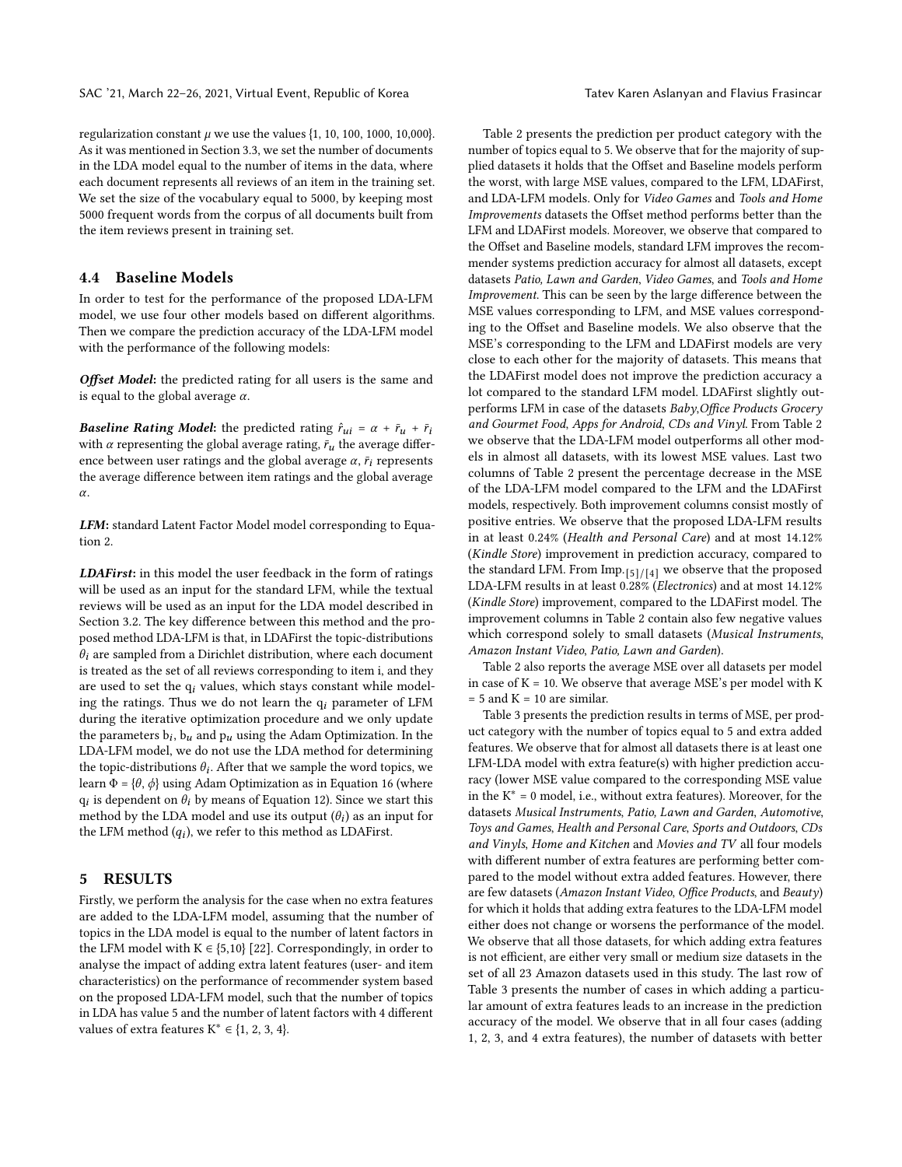regularization constant  $\mu$  we use the values {1, 10, 100, 1000, 10,000}. As it was mentioned in Section [3.3,](#page-4-4) we set the number of documents in the LDA model equal to the number of items in the data, where each document represents all reviews of an item in the training set. We set the size of the vocabulary equal to 5000, by keeping most 5000 frequent words from the corpus of all documents built from the item reviews present in training set.

# 4.4 Baseline Models

In order to test for the performance of the proposed LDA-LFM model, we use four other models based on different algorithms. Then we compare the prediction accuracy of the LDA-LFM model with the performance of the following models:

Offset Model: the predicted rating for all users is the same and is equal to the global average  $\alpha$ .

**Baseline Rating Model:** the predicted rating  $\hat{r}_{ui} = \alpha + \bar{r}_u + \bar{r}_i$ with  $\alpha$  representing the global average rating,  $\bar{r}_u$  the average difference between user ratings and the global average  $\alpha$ ,  $\bar{r}_i$  represents the average difference between item ratings and the global average  $\alpha$ .

LFM: standard Latent Factor Model model corresponding to Equation [2.](#page-2-2)

LDAFirst: in this model the user feedback in the form of ratings will be used as an input for the standard LFM, while the textual reviews will be used as an input for the LDA model described in Section [3.2.](#page-3-3) The key difference between this method and the proposed method LDA-LFM is that, in LDAFirst the topic-distributions  $\theta_i$  are sampled from a Dirichlet distribution, where each document is treated as the set of all reviews corresponding to item i, and they are used to set the  $q_i$  values, which stays constant while modeling the ratings. Thus we do not learn the  $q_i$  parameter of LFM during the iterative optimization procedure and we only update the parameters  $b_i$ ,  $b_u$  and  $p_u$  using the Adam Optimization. In the LDA-LFM model, we do not use the LDA method for determining the topic-distributions  $\theta_i$ . After that we sample the word topics, we learn  $\Phi = {\theta, \phi}$  using Adam Optimization as in Equation [16](#page-5-1) (where  $q_i$  is dependent on  $\theta_i$  by means of Equation [12\)](#page-4-2). Since we start this method by the LDA model and use its output  $(\theta_i)$  as an input for the LFM method  $(q_i)$ , we refer to this method as LDAFirst.

## 5 RESULTS

Firstly, we perform the analysis for the case when no extra features are added to the LDA-LFM model, assuming that the number of topics in the LDA model is equal to the number of latent factors in the LFM model with  $K \in \{5, 10\}$  [\[22\]](#page-9-16). Correspondingly, in order to analyse the impact of adding extra latent features (user- and item characteristics) on the performance of recommender system based on the proposed LDA-LFM model, such that the number of topics in LDA has value 5 and the number of latent factors with 4 different values of extra features  $K^* \in \{1, 2, 3, 4\}.$ 

Table [2](#page-8-0) presents the prediction per product category with the number of topics equal to 5. We observe that for the majority of supplied datasets it holds that the Offset and Baseline models perform the worst, with large MSE values, compared to the LFM, LDAFirst, and LDA-LFM models. Only for Video Games and Tools and Home Improvements datasets the Offset method performs better than the LFM and LDAFirst models. Moreover, we observe that compared to the Offset and Baseline models, standard LFM improves the recommender systems prediction accuracy for almost all datasets, except datasets Patio, Lawn and Garden, Video Games, and Tools and Home Improvement. This can be seen by the large difference between the MSE values corresponding to LFM, and MSE values corresponding to the Offset and Baseline models. We also observe that the MSE's corresponding to the LFM and LDAFirst models are very close to each other for the majority of datasets. This means that the LDAFirst model does not improve the prediction accuracy a lot compared to the standard LFM model. LDAFirst slightly outperforms LFM in case of the datasets Baby,Office Products Grocery and Gourmet Food, Apps for Android, CDs and Vinyl. From Table [2](#page-8-0) we observe that the LDA-LFM model outperforms all other models in almost all datasets, with its lowest MSE values. Last two columns of Table [2](#page-8-0) present the percentage decrease in the MSE of the LDA-LFM model compared to the LFM and the LDAFirst models, respectively. Both improvement columns consist mostly of positive entries. We observe that the proposed LDA-LFM results in at least 0.24% (Health and Personal Care) and at most 14.12% (Kindle Store) improvement in prediction accuracy, compared to the standard LFM. From Imp.  $[5]/[4]$  we observe that the proposed LDA-LFM results in at least 0.28% (Electronics) and at most 14.12% (Kindle Store) improvement, compared to the LDAFirst model. The improvement columns in Table [2](#page-8-0) contain also few negative values which correspond solely to small datasets (Musical Instruments, Amazon Instant Video, Patio, Lawn and Garden).

Table [2](#page-8-0) also reports the average MSE over all datasets per model in case of  $K = 10$ . We observe that average MSE's per model with K  $= 5$  and  $K = 10$  are similar.

Table [3](#page-8-1) presents the prediction results in terms of MSE, per product category with the number of topics equal to 5 and extra added features. We observe that for almost all datasets there is at least one LFM-LDA model with extra feature(s) with higher prediction accuracy (lower MSE value compared to the corresponding MSE value in the  $K^* = 0$  model, i.e., without extra features). Moreover, for the datasets Musical Instruments, Patio, Lawn and Garden, Automotive, Toys and Games, Health and Personal Care, Sports and Outdoors, CDs and Vinyls, Home and Kitchen and Movies and TV all four models with different number of extra features are performing better compared to the model without extra added features. However, there are few datasets (Amazon Instant Video, Office Products, and Beauty) for which it holds that adding extra features to the LDA-LFM model either does not change or worsens the performance of the model. We observe that all those datasets, for which adding extra features is not efficient, are either very small or medium size datasets in the set of all 23 Amazon datasets used in this study. The last row of Table [3](#page-8-1) presents the number of cases in which adding a particular amount of extra features leads to an increase in the prediction accuracy of the model. We observe that in all four cases (adding 1, 2, 3, and 4 extra features), the number of datasets with better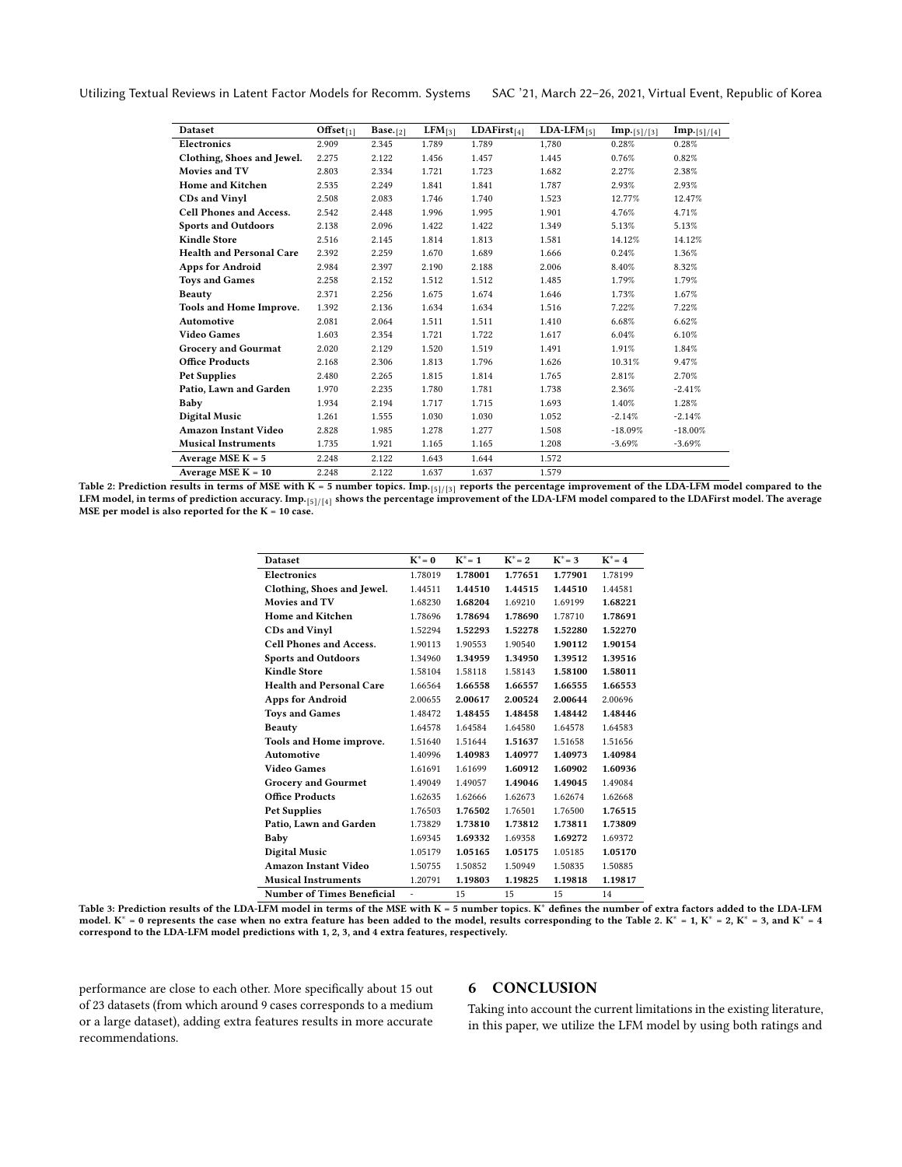<span id="page-8-0"></span>Utilizing Textual Reviews in Latent Factor Models for Recomm. Systems SAC '21, March 22–26, 2021, Virtual Event, Republic of Korea

| <b>Dataset</b>                  | $\overline{\text{offset}}_{[1]}$ | Base. $[2]$ | $LFM_{[3]}$ | LDAFirst $_{[4]}$ | $LDA-LFM_{[5]}$ | $Imp.$ [5]/[3] | Imp.[5]/[4] |
|---------------------------------|----------------------------------|-------------|-------------|-------------------|-----------------|----------------|-------------|
| <b>Electronics</b>              | 2.909                            | 2.345       | 1.789       | 1.789             | 1.780           | 0.28%          | 0.28%       |
| Clothing, Shoes and Jewel.      | 2.275                            | 2.122       | 1.456       | 1.457             | 1.445           | 0.76%          | 0.82%       |
| Movies and TV                   | 2.803                            | 2.334       | 1.721       | 1.723             | 1.682           | 2.27%          | 2.38%       |
| <b>Home and Kitchen</b>         | 2.535                            | 2.249       | 1.841       | 1.841             | 1.787           | 2.93%          | 2.93%       |
| <b>CDs and Vinyl</b>            | 2.508                            | 2.083       | 1.746       | 1.740             | 1.523           | 12.77%         | 12.47%      |
| <b>Cell Phones and Access.</b>  | 2.542                            | 2.448       | 1.996       | 1.995             | 1.901           | 4.76%          | 4.71%       |
| <b>Sports and Outdoors</b>      | 2.138                            | 2.096       | 1.422       | 1.422             | 1.349           | 5.13%          | 5.13%       |
| <b>Kindle Store</b>             | 2.516                            | 2.145       | 1.814       | 1.813             | 1.581           | 14.12%         | 14.12%      |
| <b>Health and Personal Care</b> | 2.392                            | 2.259       | 1.670       | 1.689             | 1.666           | 0.24%          | 1.36%       |
| <b>Apps for Android</b>         | 2.984                            | 2.397       | 2.190       | 2.188             | 2.006           | 8.40%          | 8.32%       |
| <b>Toys and Games</b>           | 2.258                            | 2.152       | 1.512       | 1.512             | 1.485           | 1.79%          | 1.79%       |
| <b>Beauty</b>                   | 2.371                            | 2.256       | 1.675       | 1.674             | 1.646           | 1.73%          | 1.67%       |
| Tools and Home Improve.         | 1.392                            | 2.136       | 1.634       | 1.634             | 1.516           | 7.22%          | 7.22%       |
| Automotive                      | 2.081                            | 2.064       | 1.511       | 1.511             | 1.410           | 6.68%          | 6.62%       |
| <b>Video Games</b>              | 1.603                            | 2.354       | 1.721       | 1.722             | 1.617           | 6.04%          | 6.10%       |
| <b>Grocery and Gourmat</b>      | 2.020                            | 2.129       | 1.520       | 1.519             | 1.491           | 1.91%          | 1.84%       |
| <b>Office Products</b>          | 2.168                            | 2.306       | 1.813       | 1.796             | 1.626           | 10.31%         | 9.47%       |
| <b>Pet Supplies</b>             | 2.480                            | 2.265       | 1.815       | 1.814             | 1.765           | 2.81%          | 2.70%       |
| Patio, Lawn and Garden          | 1.970                            | 2.235       | 1.780       | 1.781             | 1.738           | 2.36%          | $-2.41%$    |
| Baby                            | 1.934                            | 2.194       | 1.717       | 1.715             | 1.693           | 1.40%          | 1.28%       |
| Digital Music                   | 1.261                            | 1.555       | 1.030       | 1.030             | 1.052           | $-2.14%$       | $-2.14%$    |
| <b>Amazon Instant Video</b>     | 2.828                            | 1.985       | 1.278       | 1.277             | 1.508           | $-18.09%$      | $-18.00\%$  |
| <b>Musical Instruments</b>      | 1.735                            | 1.921       | 1.165       | 1.165             | 1.208           | $-3.69%$       | $-3.69%$    |
| Average MSE $K = 5$             | 2.248                            | 2.122       | 1.643       | 1.644             | 1.572           |                |             |
| Average MSE $K = 10$            | 2.248                            | 2.122       | 1.637       | 1.637             | 1.579           |                |             |

<span id="page-8-1"></span>Table 2: Prediction results in terms of MSE with K = 5 number topics. Imp.  $[5]/[3]$  reports the percentage improvement of the LDA-LFM model compared to the LFM model, in terms of prediction accuracy. Imp.[5]/ [4] shows the percentage improvement of the LDA-LFM model compared to the LDAFirst model. The average MSE per model is also reported for the  $K = 10$  case.

| <b>Dataset</b>                    | $K^* = 0$                | $K^* = 1$ | $K^* = 2$ | $K^* = 3$ | $K^* = 4$ |
|-----------------------------------|--------------------------|-----------|-----------|-----------|-----------|
| <b>Electronics</b>                | 1.78019                  | 1.78001   | 1.77651   | 1.77901   | 1.78199   |
| Clothing, Shoes and Jewel.        | 1.44511                  | 1.44510   | 1.44515   | 1.44510   | 1.44581   |
| Movies and TV                     | 1.68230                  | 1.68204   | 1.69210   | 1.69199   | 1.68221   |
| <b>Home and Kitchen</b>           | 1.78696                  | 1.78694   | 1.78690   | 1.78710   | 1.78691   |
| <b>CDs and Vinyl</b>              | 1.52294                  | 1.52293   | 1.52278   | 1.52280   | 1.52270   |
| <b>Cell Phones and Access.</b>    | 1.90113                  | 1.90553   | 1.90540   | 1.90112   | 1.90154   |
| <b>Sports and Outdoors</b>        | 1.34960                  | 1.34959   | 1.34950   | 1.39512   | 1.39516   |
| <b>Kindle Store</b>               | 1.58104                  | 1.58118   | 1.58143   | 1.58100   | 1.58011   |
| <b>Health and Personal Care</b>   | 1.66564                  | 1.66558   | 1.66557   | 1.66555   | 1.66553   |
| <b>Apps for Android</b>           | 2.00655                  | 2.00617   | 2.00524   | 2.00644   | 2.00696   |
| <b>Toys and Games</b>             | 1.48472                  | 1.48455   | 1.48458   | 1.48442   | 1.48446   |
| <b>Beauty</b>                     | 1.64578                  | 1.64584   | 1.64580   | 1.64578   | 1.64583   |
| Tools and Home improve.           | 1.51640                  | 1.51644   | 1.51637   | 1.51658   | 1.51656   |
| Automotive                        | 1.40996                  | 1.40983   | 1.40977   | 1.40973   | 1.40984   |
| <b>Video Games</b>                | 1.61691                  | 1.61699   | 1.60912   | 1.60902   | 1.60936   |
| <b>Grocery and Gourmet</b>        | 1.49049                  | 1.49057   | 1.49046   | 1.49045   | 1.49084   |
| <b>Office Products</b>            | 1.62635                  | 1.62666   | 1.62673   | 1.62674   | 1.62668   |
| <b>Pet Supplies</b>               | 1.76503                  | 1.76502   | 1.76501   | 1.76500   | 1.76515   |
| Patio, Lawn and Garden            | 1.73829                  | 1.73810   | 1.73812   | 1.73811   | 1.73809   |
| Baby                              | 1.69345                  | 1.69332   | 1.69358   | 1.69272   | 1.69372   |
| <b>Digital Music</b>              | 1.05179                  | 1.05165   | 1.05175   | 1.05185   | 1.05170   |
| <b>Amazon Instant Video</b>       | 1.50755                  | 1.50852   | 1.50949   | 1.50835   | 1.50885   |
| <b>Musical Instruments</b>        | 1.20791                  | 1.19803   | 1.19825   | 1.19818   | 1.19817   |
| <b>Number of Times Beneficial</b> | $\overline{\phantom{0}}$ | 15        | 15        | 15        | 14        |

Table 3: Prediction results of the LDA-LFM model in terms of the MSE with K = 5 number topics. K<sup>∗</sup> defines the number of extra factors added to the LDA-LFM model. K<sup>\*</sup> = 0 represents the case when no extra feature has been added to the model, results corresponding to the Table [2.](#page-8-0) K<sup>\*</sup> = 1, K<sup>\*</sup> = 2, K<sup>\*</sup> = 3, and K<sup>\*</sup> = 4 correspond to the LDA-LFM model predictions with 1, 2, 3, and 4 extra features, respectively.

performance are close to each other. More specifically about 15 out of 23 datasets (from which around 9 cases corresponds to a medium or a large dataset), adding extra features results in more accurate recommendations.

# 6 CONCLUSION

Taking into account the current limitations in the existing literature, in this paper, we utilize the LFM model by using both ratings and